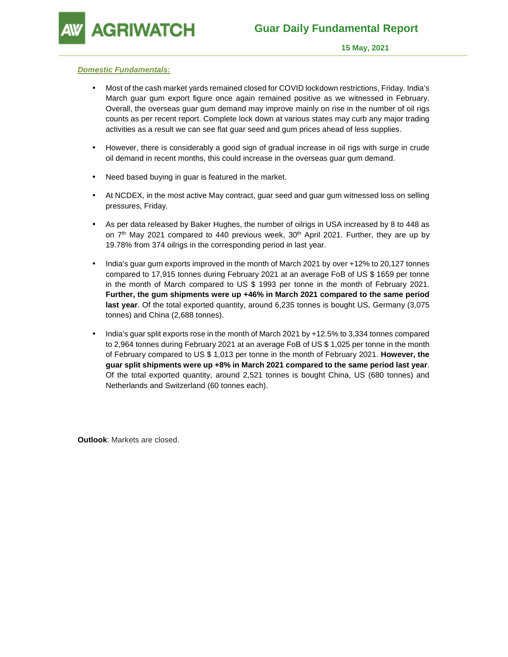**GRIWATCH** 

#### **Domestic Fundamentals:**

- Most of the cash market yards remained closed for COVID lockdown restrictions, Friday. India's March guar gum export figure once again remained positive as we witnessed in February. Overall, the overseas guar gum demand may improve mainly on rise in the number of oil rigs counts as per recent report. Complete lock down at various states may curb any major trading activities as a result we can see flat guar seed and gum prices ahead of less supplies.
- However, there is considerably a good sign of gradual increase in oil rigs with surge in crude oil demand in recent months, this could increase in the overseas guar gum demand.
- Need based buying in guar is featured in the market.
- At NCDEX, in the most active May contract, guar seed and guar gum witnessed loss on selling pressures, Friday.
- As per data released by Baker Hughes, the number of oilrigs in USA increased by 8 to 448 as on  $7<sup>th</sup>$  May 2021 compared to 440 previous week,  $30<sup>th</sup>$  April 2021. Further, they are up by 19.78% from 374 oilrigs in the corresponding period in last year.
- India's guar gum exports improved in the month of March 2021 by over +12% to 20,127 tonnes compared to 17,915 tonnes during February 2021 at an average FoB of US \$ 1659 per tonne in the month of March compared to US \$ 1993 per tonne in the month of February 2021. **Further, the gum shipments were up +46% in March 2021 compared to the same period last year**. Of the total exported quantity, around 6,235 tonnes is bought US, Germany (3,075 tonnes) and China (2,688 tonnes).
- India's guar split exports rose in the month of March 2021 by +12.5% to 3,334 tonnes compared to 2,964 tonnes during February 2021 at an average FoB of US \$ 1,025 per tonne in the month of February compared to US \$ 1,013 per tonne in the month of February 2021. **However, the guar split shipments were up +8% in March 2021 compared to the same period last year**. Of the total exported quantity, around 2,521 tonnes is bought China, US (680 tonnes) and Netherlands and Switzerland (60 tonnes each).

**Outlook**: Markets are closed.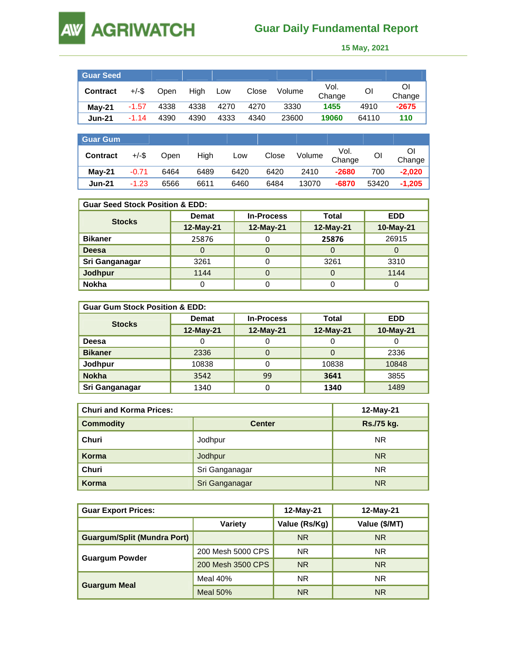# **AW AGRIWATCH**

## **Guar Daily Fundamental Report**

 **15 May, 2021** 

| <b>Guar Seed</b> |          |      |      |      |       |        |                |       |             |
|------------------|----------|------|------|------|-------|--------|----------------|-------|-------------|
| <b>Contract</b>  | $+/-$ \$ | Open | High | Low  | Close | Volume | Vol.<br>Change | Οl    | O<br>Change |
| <b>Mav-21</b>    | $-1.57$  | 4338 | 4338 | 4270 | 4270  | 3330   | 1455           | 4910  | $-2675$     |
| <b>Jun-21</b>    | $-1.14$  | 4390 | 4390 | 4333 | 4340  | 23600  | 19060          | 64110 | 110         |

| <b>Guar Gum</b> |          |      |      |      |       |        |                |       |              |
|-----------------|----------|------|------|------|-------|--------|----------------|-------|--------------|
| <b>Contract</b> | $+/-$ \$ | Open | High | Low  | Close | Volume | Vol.<br>Change | Οl    | ŐI<br>Change |
| $Mav-21$        | $-0.71$  | 6464 | 6489 | 6420 | 6420  | 2410   | $-2680$        | 700   | $-2.020$     |
| <b>Jun-21</b>   | $-1.23$  | 6566 | 6611 | 6460 | 6484  | 13070  | $-6870$        | 53420 | $-1,205$     |

| <b>Guar Seed Stock Position &amp; EDD:</b> |              |                   |           |            |  |  |  |
|--------------------------------------------|--------------|-------------------|-----------|------------|--|--|--|
| <b>Stocks</b>                              | <b>Demat</b> | <b>In-Process</b> | Total     | <b>EDD</b> |  |  |  |
|                                            | 12-May-21    | 12-May-21         | 12-May-21 | 10-May-21  |  |  |  |
| <b>Bikaner</b>                             | 25876        |                   | 25876     | 26915      |  |  |  |
| Deesa                                      |              |                   |           |            |  |  |  |
| Sri Ganganagar                             | 3261         |                   | 3261      | 3310       |  |  |  |
| Jodhpur                                    | 1144         |                   |           | 1144       |  |  |  |
| <b>Nokha</b>                               |              |                   |           |            |  |  |  |

| <b>Guar Gum Stock Position &amp; EDD:</b> |              |                   |           |            |  |  |
|-------------------------------------------|--------------|-------------------|-----------|------------|--|--|
|                                           | <b>Demat</b> | <b>In-Process</b> | Total     | <b>EDD</b> |  |  |
| <b>Stocks</b>                             | 12-May-21    | 12-May-21         | 12-May-21 | 10-May-21  |  |  |
| Deesa                                     | υ            | U                 | U         |            |  |  |
| <b>Bikaner</b>                            | 2336         | 0                 |           | 2336       |  |  |
| Jodhpur                                   | 10838        |                   | 10838     | 10848      |  |  |
| <b>Nokha</b>                              | 3542         | 99                | 3641      | 3855       |  |  |
| Sri Ganganagar                            | 1340         |                   | 1340      | 1489       |  |  |

| <b>Churi and Korma Prices:</b> | 12-May-21      |            |
|--------------------------------|----------------|------------|
| <b>Commodity</b>               | <b>Center</b>  | Rs./75 kg. |
| Churi                          | Jodhpur        | NR.        |
| Korma                          | Jodhpur        | <b>NR</b>  |
| Churi                          | Sri Ganganagar | <b>NR</b>  |
| Korma                          | Sri Ganganagar | <b>NR</b>  |

| <b>Guar Export Prices:</b>         |                   | 12-May-21     | 12-May-21     |  |
|------------------------------------|-------------------|---------------|---------------|--|
|                                    | Variety           | Value (Rs/Kg) | Value (\$/MT) |  |
| <b>Guargum/Split (Mundra Port)</b> |                   | <b>NR</b>     | <b>NR</b>     |  |
|                                    | 200 Mesh 5000 CPS | NR.           | <b>NR</b>     |  |
| <b>Guargum Powder</b>              | 200 Mesh 3500 CPS | <b>NR</b>     | <b>NR</b>     |  |
|                                    | Meal $40%$        | NR.           | <b>NR</b>     |  |
| <b>Guargum Meal</b>                | Meal $50\%$       | <b>NR</b>     | <b>NR</b>     |  |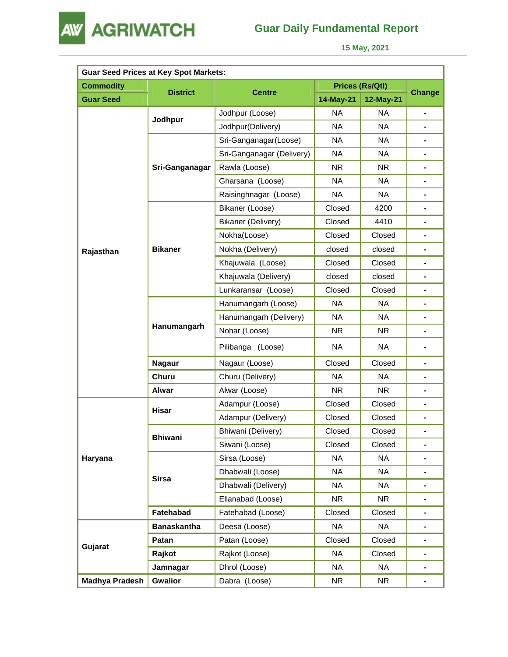

## **Guar Daily Fundamental Report**

 **15 May, 2021** 

| <b>Guar Seed Prices at Key Spot Markets:</b> |                    |                           |           |                 |                |  |
|----------------------------------------------|--------------------|---------------------------|-----------|-----------------|----------------|--|
| <b>Commodity</b>                             |                    |                           |           | Prices (Rs/Qtl) |                |  |
| <b>Guar Seed</b>                             | <b>District</b>    | <b>Centre</b>             | 14-May-21 | 12-May-21       | <b>Change</b>  |  |
|                                              |                    | Jodhpur (Loose)           | <b>NA</b> | <b>NA</b>       |                |  |
|                                              | Jodhpur            | Jodhpur(Delivery)         | <b>NA</b> | <b>NA</b>       |                |  |
|                                              |                    | Sri-Ganganagar(Loose)     | <b>NA</b> | <b>NA</b>       |                |  |
|                                              | Sri-Ganganagar     | Sri-Ganganagar (Delivery) | <b>NA</b> | <b>NA</b>       |                |  |
|                                              |                    | Rawla (Loose)             | <b>NR</b> | <b>NR</b>       |                |  |
|                                              |                    | Gharsana (Loose)          | <b>NA</b> | <b>NA</b>       | ٠              |  |
|                                              |                    | Raisinghnagar (Loose)     | <b>NA</b> | <b>NA</b>       | ٠              |  |
|                                              |                    | Bikaner (Loose)           | Closed    | 4200            |                |  |
| Rajasthan                                    |                    | <b>Bikaner (Delivery)</b> | Closed    | 4410            |                |  |
|                                              |                    | Nokha(Loose)              | Closed    | Closed          | $\blacksquare$ |  |
|                                              | <b>Bikaner</b>     | Nokha (Delivery)          | closed    | closed          |                |  |
|                                              |                    | Khajuwala (Loose)         | Closed    | Closed          |                |  |
|                                              |                    | Khajuwala (Delivery)      | closed    | closed          |                |  |
|                                              |                    | Lunkaransar (Loose)       | Closed    | Closed          | $\blacksquare$ |  |
|                                              |                    | Hanumangarh (Loose)       | <b>NA</b> | <b>NA</b>       |                |  |
|                                              | Hanumangarh        | Hanumangarh (Delivery)    | <b>NA</b> | <b>NA</b>       |                |  |
|                                              |                    | Nohar (Loose)             | <b>NR</b> | <b>NR</b>       | ٠              |  |
|                                              |                    | Pilibanga (Loose)         | NA.       | NA              |                |  |
|                                              | <b>Nagaur</b>      | Nagaur (Loose)            | Closed    | Closed          |                |  |
|                                              | Churu              | Churu (Delivery)          | <b>NA</b> | <b>NA</b>       |                |  |
|                                              | Alwar              | Alwar (Loose)             | <b>NR</b> | NR.             | ٠              |  |
|                                              | <b>Hisar</b>       | Adampur (Loose)           | Closed    | Closed          | ٠              |  |
|                                              |                    | Adampur (Delivery)        | Closed    | Closed          |                |  |
|                                              | <b>Bhiwani</b>     | Bhiwani (Delivery)        | Closed    | Closed          |                |  |
|                                              |                    | Siwani (Loose)            | Closed    | Closed          | ۰              |  |
| Haryana                                      |                    | Sirsa (Loose)             | <b>NA</b> | <b>NA</b>       |                |  |
|                                              | <b>Sirsa</b>       | Dhabwali (Loose)          | <b>NA</b> | <b>NA</b>       |                |  |
|                                              |                    | Dhabwali (Delivery)       | <b>NA</b> | <b>NA</b>       |                |  |
|                                              |                    | Ellanabad (Loose)         | NR.       | NR              | $\blacksquare$ |  |
|                                              | Fatehabad          | Fatehabad (Loose)         | Closed    | Closed          |                |  |
|                                              | <b>Banaskantha</b> | Deesa (Loose)             | <b>NA</b> | <b>NA</b>       |                |  |
|                                              | Patan              | Patan (Loose)             | Closed    | Closed          | $\blacksquare$ |  |
| Gujarat                                      | Rajkot             | Rajkot (Loose)            | <b>NA</b> | Closed          | ۰              |  |
|                                              | Jamnagar           | Dhrol (Loose)             | NA        | <b>NA</b>       |                |  |
| <b>Madhya Pradesh</b>                        | <b>Gwalior</b>     | Dabra (Loose)             | NR.       | NR              |                |  |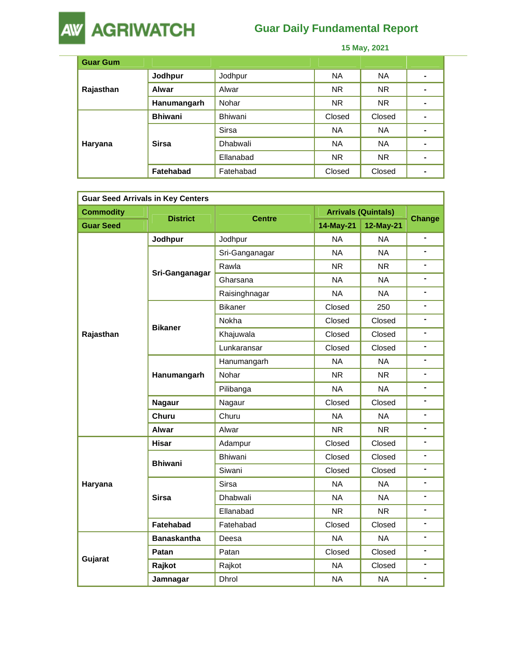

## **Guar Daily Fundamental Report**

 **15 May, 2021** 

| <b>Guar Gum</b> |                  |                 |           |           |   |
|-----------------|------------------|-----------------|-----------|-----------|---|
| Rajasthan       | Jodhpur          | Jodhpur         | <b>NA</b> | NA.       | ۰ |
|                 | <b>Alwar</b>     | Alwar           | <b>NR</b> | NR.       | ۰ |
|                 | Hanumangarh      | Nohar           | <b>NR</b> | <b>NR</b> |   |
|                 | <b>Bhiwani</b>   | Bhiwani         | Closed    | Closed    | ۰ |
| Haryana         | <b>Sirsa</b>     | <b>Sirsa</b>    | <b>NA</b> | <b>NA</b> | - |
|                 |                  | <b>Dhabwali</b> | <b>NA</b> | <b>NA</b> |   |
|                 |                  | Ellanabad       | <b>NR</b> | <b>NR</b> | ۰ |
|                 | <b>Fatehabad</b> | Fatehabad       | Closed    | Closed    | - |

| <b>Guar Seed Arrivals in Key Centers</b> |                    |                 |           |                            |                |  |
|------------------------------------------|--------------------|-----------------|-----------|----------------------------|----------------|--|
| <b>Commodity</b>                         |                    |                 |           | <b>Arrivals (Quintals)</b> | Change         |  |
| <b>Guar Seed</b>                         | <b>District</b>    | <b>Centre</b>   | 14-May-21 | 12-May-21                  |                |  |
|                                          | Jodhpur            | Jodhpur         | <b>NA</b> | <b>NA</b>                  |                |  |
| Sri-Ganganagar                           |                    | Sri-Ganganagar  | <b>NA</b> | <b>NA</b>                  | L.             |  |
|                                          |                    | Rawla           | <b>NR</b> | NR.                        | Ξ.             |  |
|                                          | Gharsana           | <b>NA</b>       | <b>NA</b> | $\blacksquare$             |                |  |
|                                          |                    | Raisinghnagar   | <b>NA</b> | <b>NA</b>                  | $\blacksquare$ |  |
|                                          |                    | <b>Bikaner</b>  | Closed    | 250                        |                |  |
|                                          | <b>Bikaner</b>     | Nokha           | Closed    | Closed                     | ۰              |  |
| Rajasthan                                |                    | Khajuwala       | Closed    | Closed                     |                |  |
|                                          |                    | Lunkaransar     | Closed    | Closed                     | $\blacksquare$ |  |
|                                          |                    | Hanumangarh     | <b>NA</b> | <b>NA</b>                  | ٠              |  |
|                                          | Hanumangarh        | Nohar           | <b>NR</b> | NR.                        |                |  |
|                                          |                    | Pilibanga       | <b>NA</b> | <b>NA</b>                  | ä,             |  |
|                                          | <b>Nagaur</b>      | Nagaur          | Closed    | Closed                     |                |  |
|                                          | Churu              | Churu           | <b>NA</b> | <b>NA</b>                  | $\blacksquare$ |  |
|                                          | Alwar              | Alwar           | <b>NR</b> | <b>NR</b>                  | $\blacksquare$ |  |
|                                          | <b>Hisar</b>       | Adampur         | Closed    | Closed                     | ٠              |  |
|                                          | <b>Bhiwani</b>     | <b>Bhiwani</b>  | Closed    | Closed                     | ٠              |  |
|                                          |                    | Siwani          | Closed    | Closed                     |                |  |
| Haryana                                  |                    | <b>Sirsa</b>    | <b>NA</b> | <b>NA</b>                  | ۰              |  |
|                                          | <b>Sirsa</b>       | <b>Dhabwali</b> | <b>NA</b> | <b>NA</b>                  |                |  |
|                                          |                    | Ellanabad       | <b>NR</b> | NR.                        | $\blacksquare$ |  |
|                                          | Fatehabad          | Fatehabad       | Closed    | Closed                     | ۰              |  |
|                                          | <b>Banaskantha</b> | Deesa           | <b>NA</b> | <b>NA</b>                  |                |  |
|                                          | Patan              | Patan           | Closed    | Closed                     | ٠              |  |
| Gujarat                                  | Rajkot             | Rajkot          | <b>NA</b> | Closed                     |                |  |
|                                          | Jamnagar           | <b>Dhrol</b>    | <b>NA</b> | <b>NA</b>                  | $\blacksquare$ |  |